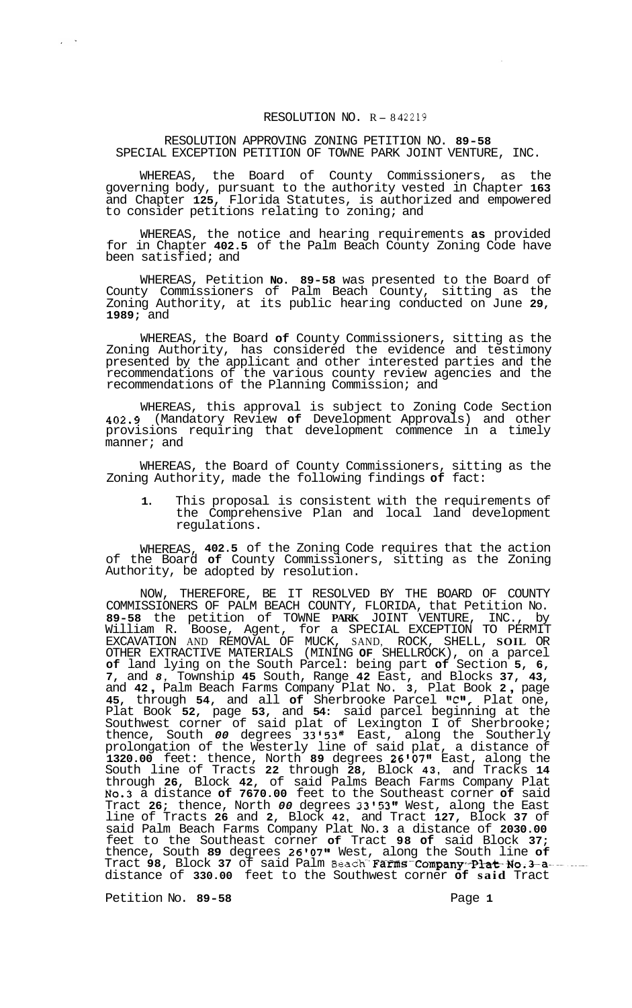## RESOLUTION NO. <sup>R</sup> - <sup>84</sup>*<sup>2219</sup>*

RESOLUTION APPROVING ZONING PETITION NO. **89-58**  SPECIAL EXCEPTION PETITION OF TOWNE PARK JOINT VENTURE, INC.

WHEREAS, the Board of County Commissioners, as the governing body, pursuant to the authority vested in Chapter **163**  and Chapter **125,** Florida Statutes, is authorized and empowered to consider petitions relating to zoning; and

WHEREAS, the notice and hearing requirements **as** provided for in Chapter **402.5** of the Palm Beach County Zoning Code have been satisfied; and

WHEREAS, Petition **No. 89-58** was presented to the Board of County Commissioners of Palm Beach County, sitting as the Zoning Authority, at its public hearing conducted on June **29, 1989;** and

WHEREAS, the Board **of** County Commissioners, sitting as the Zoning Authority, has considered the evidence and testimony presented by the applicant and other interested parties and the recommendations of the various county review agencies and the recommendations of the Planning Commission; and

WHEREAS, this approval is subject to Zoning Code Section **402.9** (Mandatory Review **of** Development Approvals) and other provisions requiring that development commence in a timely manner; and

WHEREAS, the Board of County Commissioners, sitting as the Zoning Authority, made the following findings **of** fact:

**1.** This proposal is consistent with the requirements of the Comprehensive Plan and local land development regulations.

WHEREAS, **402.5** of the Zoning Code requires that the action of the Board **of** County Commissioners, sitting as the Zoning Authority, be adopted by resolution.

NOW, THEREFORE, BE IT RESOLVED BY THE BOARD OF COUNTY COMMISSIONERS OF PALM BEACH COUNTY, FLORIDA, that Petition No. **89-58** the petition of TOWNE **PARK** JOINT VENTURE, INC., by William R. Boose, Agent, for a SPECIAL EXCEPTION TO PERMIT EXCAVATION AND REMOVAL OF MUCK, SAND, ROCK, SHELL, **SOIL** OR OTHER EXTRACTIVE MATERIALS (MINING **OF** SHELLROCK), on a parcel **of** land lying on the South Parcel: being part **of** Section **5, 6, 7,** and *8,* Township **45** South, Range **42** East, and Blocks **37, 43,**  and **42** , Palm Beach Farms Company Plat No. **3,** Plat Book **2** , page **45, through 54, and all of Sherbrooke Parcel "C", Plat one,** Plat Book **52,** page **53,** and **54:** said parcel beginning at the Southwest corner of said plat of Lexington I of Sherbrooke; thence, South *00* degrees **33'53"** East, along the Southerly prolongation of the Westerly line of said plat, a distance of **1320.00** feet: thence, North **89** degrees **26107f1** East, along the South line of Tracts **22** through **28,** Block **43,** and Tracks **14**  through **26,** Block **42,** of said Palms Beach Farms Company Plat **No.3** a distance **of 7670.00** feet to the Southeast corner **of** said Tract **26;** thence, North *00* degrees **33'53"** West, along the East line of Tracts **26** and **2,** Block **42,** and Tract **127,** Block **37** of said Palm Beach Farms Company Plat No. **3** a distance of **2030.00**  feet to the Southeast corner **of** Tract **98 of** said Block **37;**  thence, South **89** degrees **26t07tt** West, along the South line **of**  Tract 98, Block 37 of said Palm Beach Farms Company P<del>lat No.3 a</del> distance of **330.00** feet to the Southwest corner **of said** Tract

Petition No. 89-58 **Page 1 Page 1** 

 $\chi^2 \to \infty$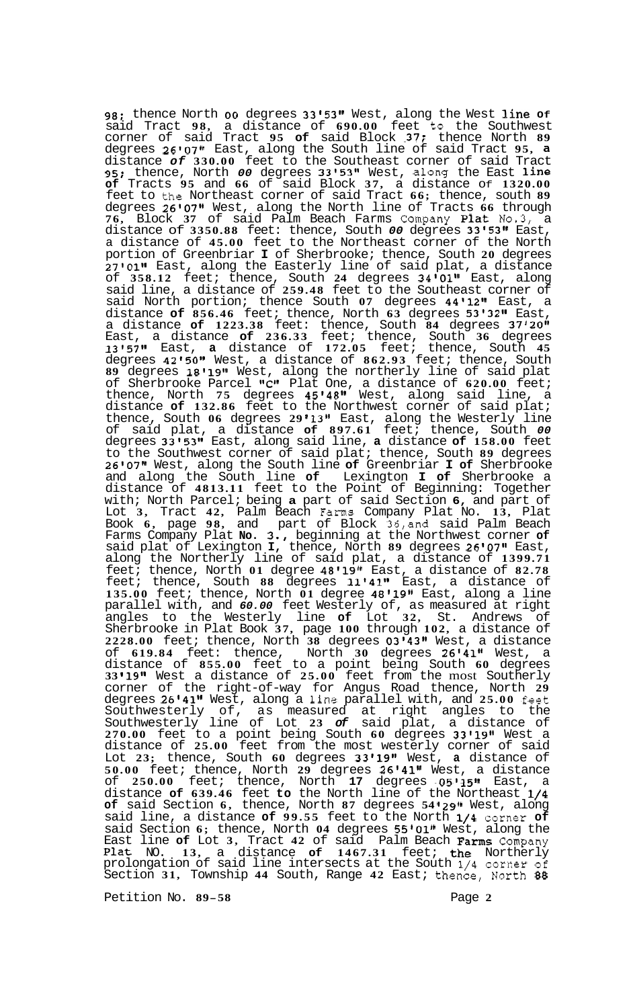**98;** thence North *00* degrees **33'53"** West, along the West line **Of**  said Tract **98,** a distance of **690.00** feet to the Southwest corner of said Tract **95 of** said Block **~37;** thence North **89**  degrees **26'07''** East, along the South line of said Tract **95, a**  distance *of* **330.00** feet to the Southeast corner of said Tract **95;** thence, North *00* degrees **33@53'@** West, along the East line **of** Tracts **95** and **66** of said Block **37,** a distance Of **1320.00**  feet to the Northeast corner of said Tract **66;** thence, south **89**  degrees **26'07@'** West, along the North line of Tracts **66** through **76,** Block **37** of said Palm Beach Farms Company Plat **No.3,** a distance of **3350.88** feet: thence, South *00* degrees **33'53"** East, a distance of **45.00** feet to the Northeast corner of the North portion of Greenbriar **I** of Sherbrooke; thence, South **20** degrees **27'011l** East, along the Easterly line of said plat, a distance of **358.12** feet; thence, South **24** degrees **34'011'** East, along said line, a distance of **259.48** feet to the Southeast corner of said North portion; thence South 07 degrees 44'12" East, a distance **of 856.46** feet; thence, North **63** degrees **53'32''** East, a distance **of 1223.38** feet: thence, South **84** degrees **37'20'@**  East, a distance **of 236.33** feet; thence, South **36** degrees **13'57Il** East, **a** distance of **172.05** feet; thence, South **45**  degrees **42t501t** West, a distance of **862.93** feet; thence, South **89** degrees **18' 1gt\*** West, along the northerly line of said plat of Sherbrooke Parcel **t'C1l** Plat One, a distance of **620.00** feet; thence, North 75 degrees 45'48" West, along said line, a distance **of 132.86** feet to the Northwest corner of said plat; thence, South **06** degrees **29 t1381** East, along the Westerly line of said plat, a distance **of 897.61** feet; thence, South *00*  degrees **3315311** East, along said line, **a** distance **of 158.00** feet to the Southwest corner of said plat; thence, South **89** degrees **26'07@t** West, along the South line **of** Greenbriar **I of** Sherbrooke and along the South line **of** Lexington **I of** Sherbrooke a distance of **4813.11** feet to the Point of Beginning: Together with; North Parcel; being **a** part of said Section **6,** and part of Lot **3,** Tract **42,** Palm Beach Farms Company Plat No. **13,** Plat Book **6,** page **98,** and part of Block **36,and** said Palm Beach Farms Company Plat **No. 3.,** beginning at the Northwest corner **of**  said plat of Lexington **I,** thence, North **89** degrees **26'07''** East, along the Northerly line of said plat, a distance of **1399.71**  feet; thence, North **01** degree **48119tt** East, a distance of **82.78**  feet; thence, South **88** degrees **11t41't** East, a distance of **135.00** feet; thence, North **01** degree **48'19'l** East, along a line parallel with, and *60.00* feet Westerly of, as measured at right angles to the Westerly line **of** Lot **32,** St. Andrews of Sherbrooke in Plat Book **37,** page **100** through **102,** a distance of **2228.00** feet; thence, North **38** degrees **O3'43lt** West, a distance of **619.84** feet: thence, North **30** degrees **26'41t1** West, a distance of **855.00** feet to a point being South **60** degrees **33 19"** West a distance of **25.00** feet from the most Southerly corner of the right-of-way for Angus Road thence, North **29**  degrees **26'41@'** West, along a -line parallel with, and **25.00** feet Southwesterly of, as measured at right angles to the Southwesterly line of Lot **23** *of* said plat, a distance of **270.00** feet to a point being South **60** degrees **33'191'** West a distance of **25.00** feet from the most westerly corner of said Lot **23;** thence, South **60** degrees **33'19@\*** West, **a** distance of **50.00** feet; thence, North **29** degrees **26@41t1** West, a distance of **250.00** feet; thence, North **17** degrees **-Q5'15Jl** East, a distance **of 639.46** feet **to** the North line of the Northeast **1/4 of** said Section **6,** thence, North **87** degrees **54 '29'1** West, along said line, a distance **of 99.55** feet to the North **1/4** corner **of**  said Section 6; thence, North 04 degrees 55'01" West, along the East line **of** Lot **3,** Tract **42** of said Palm Beach Farms Company Plat NO. **13,** a distance **of 1467.31** feet; the Northerly prolongation of said line intersects at the South **1/4** corner of Section **31,** Township **44** South, Range **42** East; thence, North **88** 

Petition No. **89-58** Page **2**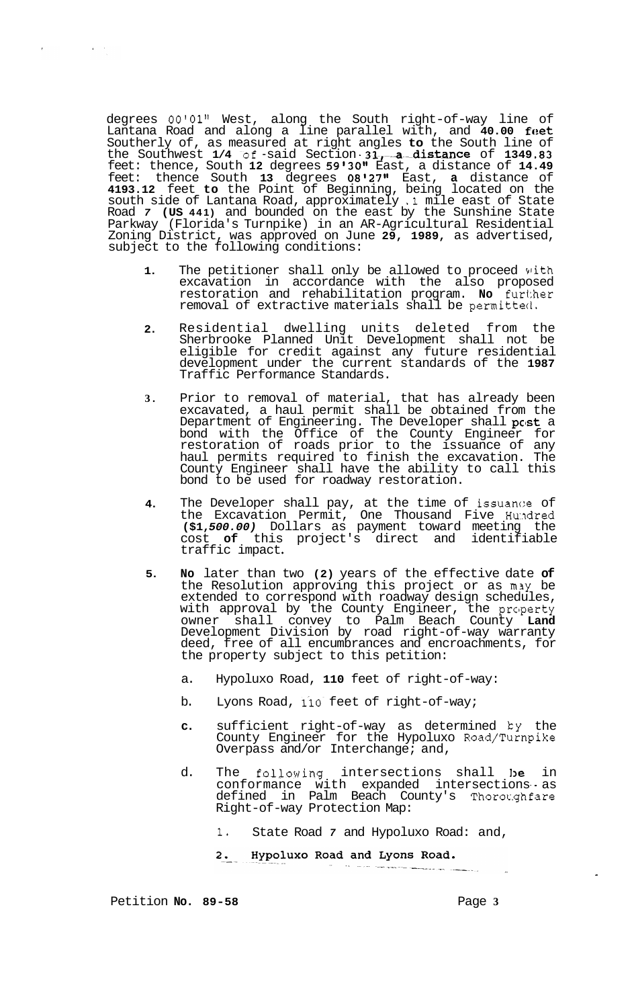degrees **00'01''** West, along the South right-of-way line of Lantana Road and along a line parallel with, and 40.00 feet Southerly of, as measured at right angles **to** the South line of the Southwest 1/4 of -said Section 31, a distance of 1349.83 feet: thence, South **12** degrees **59'30''** East, a distance of **14.49**  feet: thence South **13** degrees **08'27''** East, **a** distance of **4193.12** feet **to** the Point of Beginning, being located on the south side of Lantana Road, approximately **.1** mile east of State Road *7* **(US 441)** and bounded on the east by the Sunshine State Parkway (Florida's Turnpike) in an AR-Agricultural Residential Zoning District, was approved on June **29, 1989,** as advertised, subject to the following conditions:

- **1.**  The petitioner shall only be allowed to proceed with excavation in accordance with the also proposed restoration and rehabilitation program. **No** further removal of extractive materials shall be permitted.
- **2.**  Residential dwelling units deleted from the Sherbrooke Planned Unit Development shall not be eligible for credit against any future residential development under the current standards of the **1987**  Traffic Performance Standards.
- **3.**  Prior to removal of material, that has already been excavated, a haul permit shall be obtained from the Department of Engineering. The Developer shall  $\mathbf{p}\textup{c}\textup{s}\textup{t}$  a bond with the Office of the County Engineer for restoration of roads prior to the issuance of any haul permits required to finish the excavation. The County Engineer shall have the ability to call this bond to be used for roadway restoration.
- **4.**  The Developer shall pay, at the time of issuance of the Excavation Permit, One Thousand Five Hundred **(\$1,** *500.00)* Dollars as payment toward meeting the cost **of** this project's direct and identifiable traffic impact
- **5. No** later than two **(2)** years of the effective date **of**  the Resolution approving this project or as m3y be extended to correspond with roadway design schedules, with approval by the County Engineer, the property owner shall convey to Palm Beach County **Land**  Development Division by road right-of-way warranty deed, free of all encumbrances and encroachments, for the property subject to this petition:
	- a. Hypoluxo Road, **110** feet of right-of-way:
	- b. Lyons Road, 110 feet of right-of-way;
	- **c.** sufficient right-of-way as determined ky the County Engineer for the Hypoluxo Road/Turnpike Overpass and/or Interchange; and,
	- d. The following intersections shall be in conformance with expanded intersections as defined in Palm Beach County's Thoroc.ghfare Right-of-way Protection Map:
		- **1.** State Road *7* and Hypoluxo Road: and,
		- Hypoluxo Road and Lyons Road.  $2.$

Petition **No.** 89-58 **Page 3 Page 3** 

 $\epsilon$ 

 $\mathcal{L}^{\text{max}}_{\text{max}}$  and  $\mathcal{L}^{\text{max}}_{\text{max}}$ 

الرزايا وليسا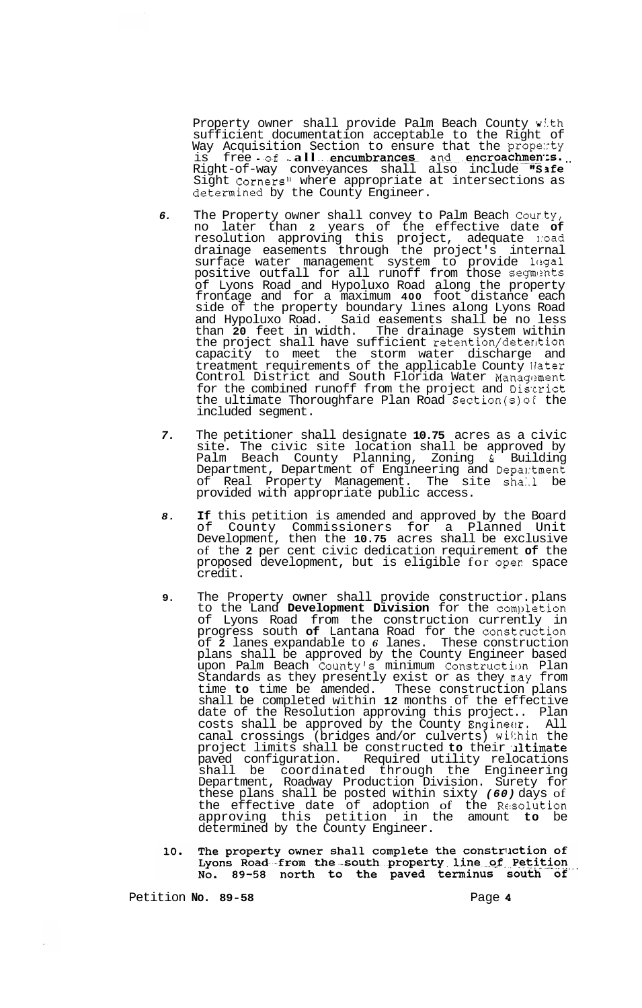Property owner shall provide Palm Beach County with sufficient documentation acceptable to the Right of Way Acquisition Section to ensure that the property way acquisition section to ensure that the property<br>is free of all encumbrances and encroachments. Right-of-way conveyances shall also include "Sife Sight Corners" where appropriate at intersections as determined by the County Engineer.

- *6.* The Property owner shall convey to Palm Beach Cour.ty, no later than **2** years of the effective date **of**  resolution approving this project, adequate road drainage easements through the project's internal surface water management system to provide legal positive outfall for all runoff from those segments of Lyons Road and Hypoluxo Road along the property frontage and for a maximum **400** foot distance each side of the property boundary lines along Lyons Road and Hypoluxo Road. Said easements shall be no less than **20** feet in width. The drainage system within the project shall have sufficient retention/deterkion capacity to meet the storm water discharge and treatment requirements of the applicable County Water Control District and South Florida Water Management for the combined runoff from the project and Discrict the ultimate Thoroughfare Plan Road Section(s) of the included segment.
- *7.* The petitioner shall designate **10.75** acres as a civic site. The civic site location shall be approved by Palm Beach County Planning, Zoning & Building Department, Department of Engineering and Depantment of Real Property Management. The site shall be provided with appropriate public access.
- 8. If this petition is amended and approved by the Board of County Commissioners for a Planned Unit Development, then the **10.75** acres shall be exclusive of the **2** per cent civic dedication requirement **of** the proposed development, but is eligible for oper space credit.
- **9.** The Property owner shall provide constructior. plans to the Land Development Division for the completion of Lyons Road from the construction currently in progress south **of** Lantana Road for the construction of **2** lanes expandable to *6* lanes. These construction plans shall be approved by the County Engineer based upon Palm Beach Countyls minimum Construction Plan Standards as they presently exist or as they n.ay from time **to** time be amended. These construction plans shall be completed within **12** months of the effective date of the Resolution approving this project.. Plan costs shall be approved by the County Engineer. All canal crossings (bridges and/or culverts) within the project limits shall be constructed **to** their ,Jltimate paved configuration. Required utility relocations shall be coordinated through the Engineering Department, Roadway Production Division. Surety for these plans shall be posted within sixty *(60)* days of the effective date of adoption of the Resolution approving this petition in the amount **to** be determined by the County Engineer.
- The property owner shall complete the construction of 10. Lyons Road-from the south property line of Petition No. 89-58 north to the paved terminus south of

Petition **No.** 89-58 **Page 4 Page 4**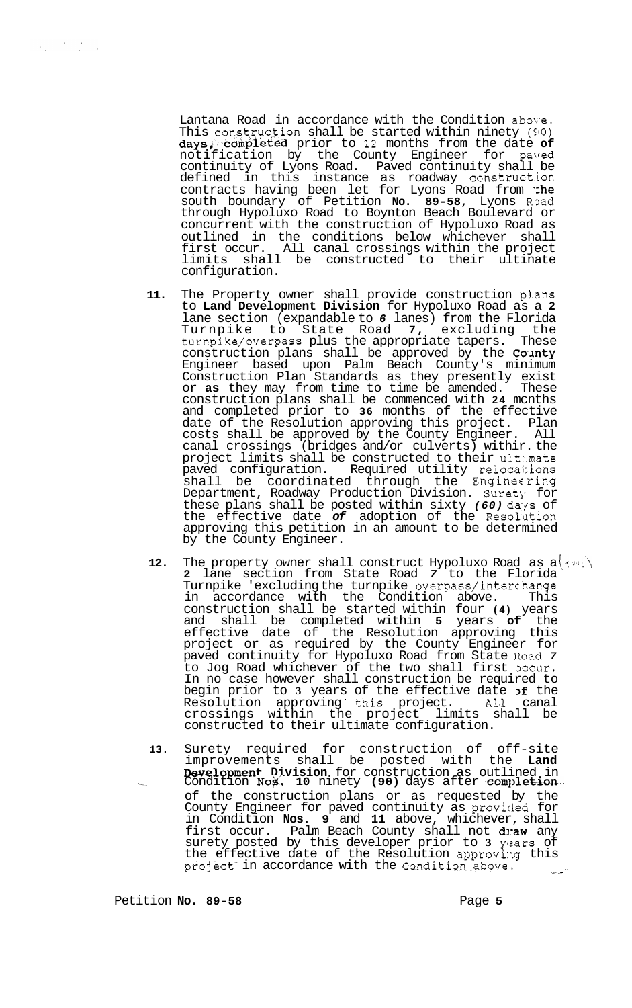Lantana Road in accordance with the Condition above. This con.struction shall be started within ninety **(510)**  daysi'.'campieted prior to **12** months from the date **of**  notification by the County Engineer for paved continuity of Lyons Road. Paved continuity shall be defined in this instance as roadway construct.ion contracts having been let for Lyons Road from the south boundary of Petition No. 89-58, Lyons Road through Hypoluxo Road to Boynton Beach Boulevard or concurrent with the construction of Hypoluxo Road as outlined in the conditions below whichever shall first occur. All canal crossings within the project limits shall be constructed to their ultinate configuration.

- **11.**  The Property owner shall provide construction plans to **Land Development Division** for Hypoluxo Road as a **2**  lane section (expandable to *6* lanes) from the Florida Turnpike to State Road **7,** excluding the turnpike/overpass plus the appropriate tapers. These construction plans shall be approved by the County Engineer based upon Palm Beach County's minimum Construction Plan Standards as they presently exist or **as** they may from time to time be amended. These construction plans shall be commenced with **24** mcnths and completed prior to **36** months of the effective date of the Resolution approving this project. Plan costs shall be approved by the County Engineer. All canal crossings (bridges and/or culverts) withir. the project limits shall be constructed to their ult:.mate paved configuration. Required utility reloca1:ions shall be coordinated through the Engineering Department, Roadway Production Division. Surety for these plans shall be posted within sixty (60) days of the effective date *of* adoption of the Resoliltion approving this petition in an amount to be determined by the County Engineer.
- **12.** The property owner shall construct Hypoluxo Road as  $a\overline{\langle A^{\nu_i} \psi \rangle}$ **2** lane section from State Road *7* to the Florida Turnpike 'excluding the turnpike overpass/interc:hange in accordance with the Condition above. This construction shall be started within four **(4)** years and shall be completed within **5** years **of** the effective date of the Resolution approving this project or as required by the County Engineer for paved continuity for Hypoluxo Road from State Road *7*  to Jog Road whichever of the two shall first pecur. In no case however shall construction be required to begin prior to **3** years of the effective date **,Df** the Resolution approving this project. All canal crossings within the project limits shall be constructed to their ultimate configuration.
- **13.** Surety required for construction of off-site improvements shall be posted with the **Land Development Division** for construction as outlined in Condition **Nox. 10** ninety **(90)** days after **completion** of the construction plans or as requested by the County Engineer for paved continuity as provided for in Condition **Nos. 9** and **11** above, whichever, shall first occur. Palm Beach County shall not dnaw any surety posted by this developer prior to 3 years of the effective date of the Resolution approvillg this project in accordance with the condition above.

Petition **No. 89-58 Page 5 Page 5**